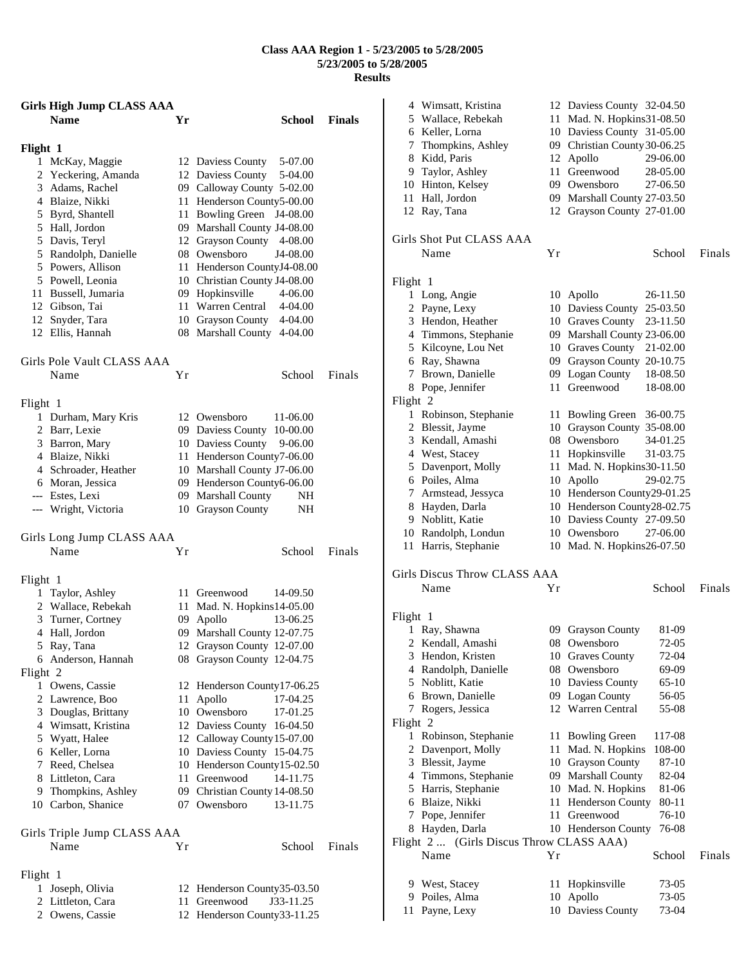### **Class AAA Region 1 - 5/23/2005 to 5/28/2005 5/23/2005 to 5/28/2005 Results**

| <b>Girls High Jump CLASS AAA</b><br><b>Name</b> | Yr | <b>School</b>                                              | <b>Finals</b> |              | 4 Wimsatt, Kristina<br>5 Wallace, Rebekah |
|-------------------------------------------------|----|------------------------------------------------------------|---------------|--------------|-------------------------------------------|
|                                                 |    |                                                            |               |              | 6 Keller, Lorna<br>7 Thompkins, Ashley    |
| Flight 1                                        |    |                                                            |               |              | 8 Kidd, Paris                             |
| 1 McKay, Maggie                                 |    | 5-07.00<br>12 Daviess County                               |               |              | 9 Taylor, Ashley                          |
| 2 Yeckering, Amanda<br>3 Adams, Rachel          |    | 12 Daviess County<br>5-04.00<br>09 Calloway County 5-02.00 |               |              | 10 Hinton, Kelsey                         |
| 4 Blaize, Nikki                                 |    | 11 Henderson County5-00.00                                 |               |              | 11 Hall, Jordon                           |
| 5 Byrd, Shantell                                |    | 11 Bowling Green J4-08.00                                  |               | 12 Ray, Tana |                                           |
| 5 Hall, Jordon                                  |    | 09 Marshall County J4-08.00                                |               |              |                                           |
| 5 Davis, Teryl                                  |    | 12 Grayson County 4-08.00                                  |               |              | Girls Shot Put CLASS                      |
| 5 Randolph, Danielle                            |    | 08 Owensboro<br>J4-08.00                                   |               | Name         |                                           |
| 5 Powers, Allison                               |    | 11 Henderson CountyJ4-08.00                                |               |              |                                           |
| 5 Powell, Leonia                                |    | 10 Christian County J4-08.00                               |               | Flight 1     |                                           |
| 11 Bussell, Jumaria                             |    | 09 Hopkinsville<br>4-06.00                                 |               |              | 1 Long, Angie                             |
| 12 Gibson, Tai                                  |    | 11 Warren Central<br>4-04.00                               |               |              | 2 Payne, Lexy                             |
| 12 Snyder, Tara                                 |    | 10 Grayson County<br>4-04.00                               |               |              | 3 Hendon, Heather                         |
| 12 Ellis, Hannah                                |    | 08 Marshall County 4-04.00                                 |               |              | 4 Timmons, Stephan                        |
|                                                 |    |                                                            |               |              | 5 Kilcoyne, Lou Net                       |
| Girls Pole Vault CLASS AAA                      |    |                                                            |               |              | 6 Ray, Shawna                             |
| Name                                            | Yr | School                                                     | Finals        |              | 7 Brown, Danielle                         |
|                                                 |    |                                                            |               |              | 8 Pope, Jennifer                          |
| Flight 1                                        |    |                                                            |               | Flight 2     |                                           |
| 1 Durham, Mary Kris                             |    | 12 Owensboro<br>11-06.00                                   |               |              | 1 Robinson, Stephan                       |
| 2 Barr, Lexie                                   |    | 09 Daviess County 10-00.00                                 |               |              | 2 Blessit, Jayme                          |
| 3 Barron, Mary                                  |    | 10 Daviess County<br>9-06.00                               |               |              | 3 Kendall, Amashi                         |
| 4 Blaize, Nikki                                 |    | 11 Henderson County7-06.00                                 |               |              | 4 West, Stacey                            |
| 4 Schroader, Heather                            |    | 10 Marshall County J7-06.00                                |               |              | 5 Davenport, Molly                        |
| 6 Moran, Jessica                                |    | 09 Henderson County6-06.00                                 |               |              | 6 Poiles, Alma                            |
| --- Estes, Lexi                                 |    | 09 Marshall County<br>NH.                                  |               |              | 7 Armstead, Jessyca                       |
| --- Wright, Victoria                            |    | 10 Grayson County<br>NH                                    |               |              | 8 Hayden, Darla                           |
|                                                 |    |                                                            |               |              | 9 Noblitt, Katie                          |
| Girls Long Jump CLASS AAA                       |    |                                                            |               |              | 10 Randolph, Londun                       |
| Name                                            | Υr | School                                                     | Finals        |              | 11 Harris, Stephanie                      |
|                                                 |    |                                                            |               |              | Girls Discus Throw CL                     |
| Flight 1<br>1 Taylor, Ashley                    |    | 11 Greenwood<br>14-09.50                                   |               | Name         |                                           |
| 2 Wallace, Rebekah                              |    | 11 Mad. N. Hopkins14-05.00                                 |               |              |                                           |
| 3 Turner, Cortney                               |    | 09 Apollo<br>13-06.25                                      |               | Flight 1     |                                           |
| 4 Hall, Jordon                                  |    | 09 Marshall County 12-07.75                                |               |              | 1 Ray, Shawna                             |
| 5 Ray, Tana                                     |    | 12 Grayson County 12-07.00                                 |               |              | 2 Kendall, Amashi                         |
| 6 Anderson, Hannah                              |    | 08 Grayson County 12-04.75                                 |               |              | 3 Hendon, Kristen                         |
| Flight 2                                        |    |                                                            |               |              | 4 Randolph, Danielle                      |
| 1 Owens, Cassie                                 |    | 12 Henderson County17-06.25                                |               |              | 5 Noblitt, Katie                          |
| 2 Lawrence, Boo                                 |    | 11 Apollo<br>17-04.25                                      |               |              | 6 Brown, Danielle                         |
| 3 Douglas, Brittany                             |    | 10 Owensboro<br>17-01.25                                   |               |              | 7 Rogers, Jessica                         |
| 4 Wimsatt, Kristina                             |    | 12 Daviess County 16-04.50                                 |               | Flight 2     |                                           |
| 5 Wyatt, Halee                                  |    | 12 Calloway County 15-07.00                                |               |              | 1 Robinson, Stephan                       |
| 6 Keller, Lorna                                 |    | 10 Daviess County 15-04.75                                 |               |              | 2 Davenport, Molly                        |
| 7 Reed, Chelsea                                 |    | 10 Henderson County15-02.50                                |               |              | 3 Blessit, Jayme                          |
| 8 Littleton, Cara                               |    | 11 Greenwood<br>14-11.75                                   |               |              | 4 Timmons, Stephan                        |
| 9 Thompkins, Ashley                             |    | 09 Christian County 14-08.50                               |               |              | 5 Harris, Stephanie                       |
| 10 Carbon, Shanice                              |    | 07 Owensboro<br>13-11.75                                   |               |              | 6 Blaize, Nikki                           |
|                                                 |    |                                                            |               |              | 7 Pope, Jennifer                          |
| Girls Triple Jump CLASS AAA                     |    |                                                            |               |              | 8 Hayden, Darla                           |
| Name                                            | Υr | School                                                     | Finals        | Name         | Flight 2  (Girls Disc                     |
| Flight 1                                        |    |                                                            |               |              |                                           |
| 1 Joseph, Olivia                                |    | 12 Henderson County 35-03.50                               |               |              | 9 West, Stacey                            |
| 2 Littleton, Cara                               |    | 11 Greenwood<br>J33-11.25                                  |               |              | 9 Poiles, Alma                            |
| 2 Owens, Cassie                                 |    | 12 Henderson County 33-11.25                               |               |              | 11 Payne, Lexy                            |
|                                                 |    |                                                            |               |              |                                           |

|          | 4 Wimsatt, Kristina                      |     | 12 Daviess County 32-04.50     |                |        |
|----------|------------------------------------------|-----|--------------------------------|----------------|--------|
|          | 5 Wallace, Rebekah                       |     | 11 Mad. N. Hopkins31-08.50     |                |        |
|          | 6 Keller, Lorna                          |     | 10 Daviess County 31-05.00     |                |        |
| 7        | Thompkins, Ashley                        |     | 09 Christian County 30-06.25   |                |        |
|          | 8 Kidd, Paris                            | 12  | Apollo                         | 29-06.00       |        |
|          | 9 Taylor, Ashley                         | 11  | Greenwood                      | 28-05.00       |        |
|          | 10 Hinton, Kelsey                        |     | 09 Owensboro                   | 27-06.50       |        |
| 11       | Hall, Jordon                             |     | 09 Marshall County 27-03.50    |                |        |
|          | 12 Ray, Tana                             |     | 12 Grayson County 27-01.00     |                |        |
|          |                                          |     |                                |                |        |
|          | Girls Shot Put CLASS AAA                 |     |                                |                |        |
|          | Name                                     | Υr  |                                | School         | Finals |
| Flight 1 |                                          |     |                                |                |        |
|          | 1 Long, Angie                            |     | 10 Apollo                      | 26-11.50       |        |
| 2        | Payne, Lexy                              |     | 10 Daviess County 25-03.50     |                |        |
|          | 3 Hendon, Heather                        |     | 10 Graves County               | 23-11.50       |        |
|          | 4 Timmons, Stephanie                     |     | 09 Marshall County 23-06.00    |                |        |
|          | 5 Kilcoyne, Lou Net                      |     | 10 Graves County               | 21-02.00       |        |
|          | 6 Ray, Shawna                            |     | 09 Grayson County 20-10.75     |                |        |
| 7        | Brown, Danielle                          |     | 09 Logan County                | 18-08.50       |        |
|          |                                          |     | Greenwood                      |                |        |
| Flight 2 | 8 Pope, Jennifer                         | 11- |                                | 18-08.00       |        |
| 1        | Robinson, Stephanie                      | 11. | <b>Bowling Green</b>           | 36-00.75       |        |
|          | 2 Blessit, Jayme                         |     | 10 Grayson County 35-08.00     |                |        |
|          | 3 Kendall, Amashi                        |     | 08 Owensboro                   | 34-01.25       |        |
|          | 4 West, Stacey                           | 11  | Hopkinsville                   | 31-03.75       |        |
|          |                                          |     |                                |                |        |
|          | 5 Davenport, Molly                       | 11  | Mad. N. Hopkins30-11.50        |                |        |
|          | 6 Poiles, Alma                           |     | 10 Apollo                      | 29-02.75       |        |
| 7        | Armstead, Jessyca                        |     | 10 Henderson County29-01.25    |                |        |
|          | 8 Hayden, Darla                          |     | 10 Henderson County28-02.75    |                |        |
|          | 9 Noblitt, Katie                         |     | 10 Daviess County 27-09.50     |                |        |
|          | 10 Randolph, Londun                      |     | 10 Owensboro                   | 27-06.00       |        |
|          | 11 Harris, Stephanie                     |     | 10 Mad. N. Hopkins26-07.50     |                |        |
|          | Girls Discus Throw CLASS AAA             |     |                                |                |        |
|          | Name                                     | Υr  |                                | School         | Finals |
|          |                                          |     |                                |                |        |
| Flight 1 |                                          |     |                                |                |        |
|          | 1 Ray, Shawna                            |     | 09 Grayson County              | 81-09          |        |
|          | 2 Kendall, Amashi                        |     | 08 Owensboro                   | 72-05          |        |
| 3        | Hendon, Kristen                          |     | 10 Graves County               | 72-04          |        |
| 4        | Randolph, Danielle                       |     | 08 Owensboro                   | 69-09          |        |
| 5        | Noblitt, Katie                           |     | 10 Daviess County              | 65-10          |        |
| 6        | Brown, Danielle                          |     | 09 Logan County                | 56-05          |        |
| 7        | Rogers, Jessica                          |     | 12 Warren Central              | 55-08          |        |
| Flight 2 |                                          |     |                                |                |        |
| 1        | Robinson, Stephanie                      | 11. | <b>Bowling Green</b>           | 117-08         |        |
| 2        | Davenport, Molly                         | 11  | Mad. N. Hopkins                | 108-00         |        |
| 3        | Blessit, Jayme                           |     | 10 Grayson County              | 87-10          |        |
|          | 4 Timmons, Stephanie                     | 09  | Marshall County                | 82-04          |        |
| 5        | Harris, Stephanie                        | 10  | Mad. N. Hopkins                | 81-06          |        |
| 6        | Blaize, Nikki                            | 11  | <b>Henderson County</b>        | 80-11          |        |
| 7        | Pope, Jennifer                           | 11  | Greenwood                      | 76-10          |        |
| 8        | Hayden, Darla                            |     | 10 Henderson County            | 76-08          |        |
|          | Flight 2  (Girls Discus Throw CLASS AAA) |     |                                |                |        |
|          | Name                                     | Υr  |                                | School         | Finals |
|          |                                          |     |                                |                |        |
| 9        |                                          | 11. | Hopkinsville                   |                |        |
|          | West, Stacey                             |     |                                | 73-05          |        |
| 9<br>11  | Poiles, Alma<br>Payne, Lexy              |     | 10 Apollo<br>10 Daviess County | 73-05<br>73-04 |        |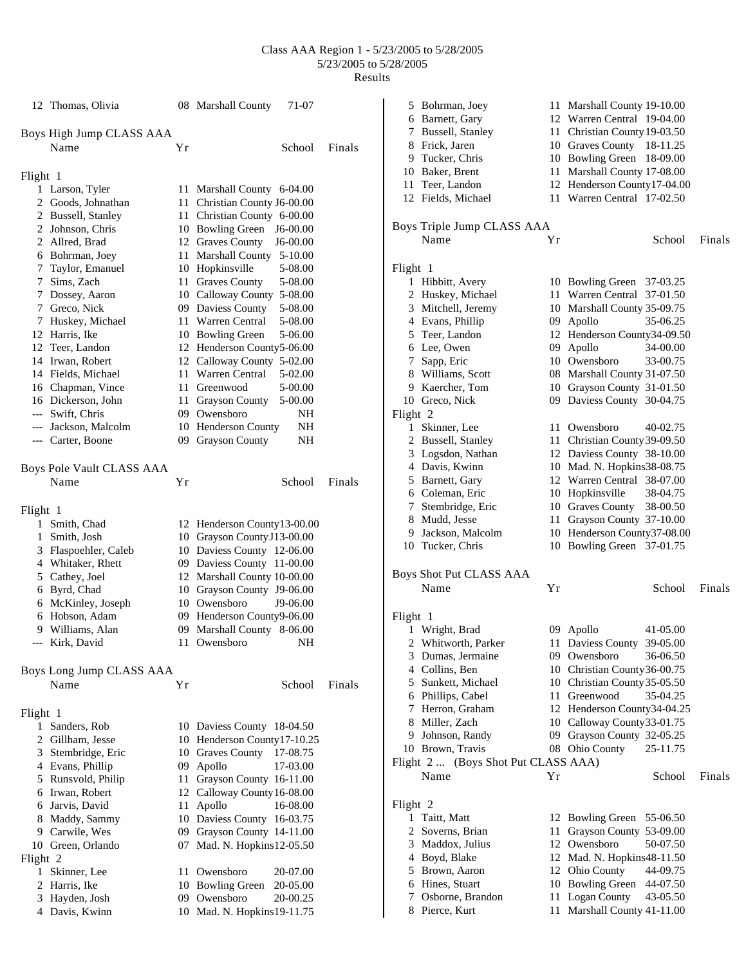### Class AAA Region 1 - 5/23/2005 to 5/28/2005 5/23/2005 to 5/28/2005 Results

|          | 12 Thomas, Olivia         |    | 08 Marshall County<br>71-07    |        |
|----------|---------------------------|----|--------------------------------|--------|
|          | Boys High Jump CLASS AAA  |    |                                |        |
|          | Name                      | Υr | School                         | Finals |
| Flight 1 |                           |    |                                |        |
|          | 1 Larson, Tyler           |    | 11 Marshall County 6-04.00     |        |
|          | 2 Goods, Johnathan        |    | 11 Christian County J6-00.00   |        |
|          | 2 Bussell, Stanley        |    | 11 Christian County 6-00.00    |        |
|          | 2 Johnson, Chris          |    | 10 Bowling Green<br>$J6-00.00$ |        |
|          | 2 Allred, Brad            |    | 12 Graves County<br>$J6-00.00$ |        |
|          | 6 Bohrman, Joey           |    | 11 Marshall County 5-10.00     |        |
|          | 7 Taylor, Emanuel         |    | 10 Hopkinsville<br>5-08.00     |        |
|          | 7 Sims, Zach              |    | 11 Graves County<br>5-08.00    |        |
|          | 7 Dossey, Aaron           |    | 10 Calloway County 5-08.00     |        |
|          | 7 Greco, Nick             |    | 09 Daviess County<br>5-08.00   |        |
|          | 7 Huskey, Michael         |    | 11 Warren Central<br>5-08.00   |        |
|          | 12 Harris, Ike            |    | 10 Bowling Green<br>5-06.00    |        |
|          | 12 Teer, Landon           |    | 12 Henderson County5-06.00     |        |
|          | 14 Irwan, Robert          |    | 12 Calloway County 5-02.00     |        |
|          | 14 Fields, Michael        |    | 11 Warren Central<br>5-02.00   |        |
|          | 16 Chapman, Vince         |    | 11 Greenwood<br>5-00.00        |        |
|          | 16 Dickerson, John        |    | 11 Grayson County<br>5-00.00   |        |
|          | --- Swift, Chris          |    | 09 Owensboro<br>NH             |        |
|          | --- Jackson, Malcolm      |    | 10 Henderson County<br>NH      |        |
|          | --- Carter, Boone         |    | 09 Grayson County<br>NΗ        |        |
|          | Boys Pole Vault CLASS AAA |    |                                |        |
|          | Name                      | Υr | School                         | Finals |
|          |                           |    |                                |        |
| Flight 1 | 1 Smith, Chad             |    | 12 Henderson County 13-00.00   |        |
| 1        | Smith, Josh               |    | 10 Grayson County J13-00.00    |        |
|          | 3 Flaspoehler, Caleb      |    | 10 Daviess County 12-06.00     |        |
|          | 4 Whitaker, Rhett         |    | 09 Daviess County 11-00.00     |        |
|          | 5 Cathey, Joel            |    | 12 Marshall County 10-00.00    |        |
|          | 6 Byrd, Chad              |    | 10 Grayson County J9-06.00     |        |
|          | 6 McKinley, Joseph        |    | 10 Owensboro<br>J9-06.00       |        |
|          | 6 Hobson, Adam            |    | 09 Henderson County9-06.00     |        |
|          | 9 Williams, Alan          |    | 09 Marshall County 8-06.00     |        |
|          | --- Kirk, David           |    | 11 Owensboro NH                |        |
|          |                           |    |                                |        |
|          | Boys Long Jump CLASS AAA  |    |                                |        |
|          | Name                      | Υr | School                         | Finals |
| Flight 1 |                           |    |                                |        |
| 1        | Sanders, Rob              |    | 10 Daviess County 18-04.50     |        |
|          | 2 Gillham, Jesse          |    | 10 Henderson County 17-10.25   |        |
|          | 3 Stembridge, Eric        |    | 10 Graves County<br>17-08.75   |        |
|          | 4 Evans, Phillip          |    | 09 Apollo<br>17-03.00          |        |
|          | 5 Runsvold, Philip        |    | 11 Grayson County 16-11.00     |        |
|          | 6 Irwan, Robert           |    | 12 Calloway County 16-08.00    |        |
|          | 6 Jarvis, David           |    | 11 Apollo<br>16-08.00          |        |
|          | 8 Maddy, Sammy            |    | 10 Daviess County 16-03.75     |        |
|          | 9 Carwile, Wes            |    | 09 Grayson County 14-11.00     |        |
|          | 10 Green, Orlando         |    | 07 Mad. N. Hopkins12-05.50     |        |
| Flight 2 |                           |    |                                |        |
| 1        | Skinner, Lee              |    | 11 Owensboro<br>20-07.00       |        |
|          | 2 Harris, Ike             |    | 10 Bowling Green<br>20-05.00   |        |
|          | 3 Hayden, Josh            |    | 09 Owensboro<br>20-00.25       |        |
|          | 4 Davis, Kwinn            |    | 10 Mad. N. Hopkins19-11.75     |        |

|          | 5 Bohrman, Joey                     |    | 11 Marshall County 19-10.00      |        |
|----------|-------------------------------------|----|----------------------------------|--------|
|          | 6 Barnett, Gary                     |    | 12 Warren Central 19-04.00       |        |
|          | 7 Bussell, Stanley                  |    | 11 Christian County 19-03.50     |        |
|          | 8 Frick, Jaren                      |    | 10 Graves County 18-11.25        |        |
|          | 9 Tucker, Chris                     |    | 10 Bowling Green<br>18-09.00     |        |
|          | 10 Baker, Brent                     |    | 11 Marshall County 17-08.00      |        |
|          | 11 Teer, Landon                     |    | 12 Henderson County17-04.00      |        |
|          | 12 Fields, Michael                  |    | 11 Warren Central 17-02.50       |        |
|          |                                     |    |                                  |        |
|          | Boys Triple Jump CLASS AAA          |    |                                  |        |
|          | Name                                | Υr | School                           | Finals |
|          |                                     |    |                                  |        |
|          |                                     |    |                                  |        |
| Flight 1 |                                     |    |                                  |        |
| 1        | Hibbitt, Avery                      |    | 10 Bowling Green<br>37-03.25     |        |
|          | 2 Huskey, Michael                   |    | 11 Warren Central<br>37-01.50    |        |
|          | 3 Mitchell, Jeremy                  |    | 10 Marshall County 35-09.75      |        |
|          | 4 Evans, Phillip                    |    | 09 Apollo<br>35-06.25            |        |
|          | 5 Teer, Landon                      |    | 12 Henderson County34-09.50      |        |
|          | 6 Lee, Owen                         |    | 09 Apollo<br>34-00.00            |        |
|          | 7 Sapp, Eric                        |    | 10 Owensboro<br>33-00.75         |        |
|          | 8 Williams, Scott                   |    | 08 Marshall County 31-07.50      |        |
|          | 9 Kaercher, Tom                     |    | 10 Grayson County 31-01.50       |        |
|          | 10 Greco, Nick                      |    | 09 Daviess County 30-04.75       |        |
| Flight 2 |                                     |    |                                  |        |
| 1        | Skinner, Lee                        |    | 11 Owensboro<br>40-02.75         |        |
|          | 2 Bussell, Stanley                  |    | 11 Christian County 39-09.50     |        |
|          | 3 Logsdon, Nathan                   |    | 12 Daviess County 38-10.00       |        |
|          | 4 Davis, Kwinn                      |    | 10 Mad. N. Hopkins38-08.75       |        |
|          | 5 Barnett, Gary                     |    | 12 Warren Central 38-07.00       |        |
|          | 6 Coleman, Eric                     |    | 10 Hopkinsville<br>38-04.75      |        |
| 7        | Stembridge, Eric                    |    | 10 Graves County<br>38-00.50     |        |
| 8        | Mudd, Jesse                         |    | 11 Grayson County 37-10.00       |        |
| 9.       | Jackson, Malcolm                    |    | 10 Henderson County37-08.00      |        |
|          | 10 Tucker, Chris                    |    | 10 Bowling Green 37-01.75        |        |
|          |                                     |    |                                  |        |
|          |                                     |    |                                  |        |
|          | Boys Shot Put CLASS AAA<br>Name     | Yr | School                           | Finals |
|          |                                     |    |                                  |        |
|          |                                     |    |                                  |        |
| Flight 1 |                                     |    |                                  |        |
|          | 1 Wright, Brad                      |    | 09 Apollo<br>41-05.00            |        |
|          | 2 Whitworth, Parker                 |    | 11 Daviess County 39-05.00       |        |
| 3        | Dumas, Jermaine                     |    | 09 Owensboro<br>36-06.50         |        |
|          | 4 Collins, Ben                      |    | 10 Christian County 36-00.75     |        |
| 5        | Sunkett, Michael                    |    | 10 Christian County 35-05.50     |        |
| 6        | Phillips, Cabel                     |    | 11 Greenwood<br>35-04.25         |        |
| 7        | Herron, Graham                      |    | 12 Henderson County34-04.25      |        |
| 8        | Miller, Zach                        |    | 10 Calloway County 33-01.75      |        |
| 9        | Johnson, Randy                      |    | 09 Grayson County 32-05.25       |        |
|          | 10 Brown, Travis                    |    | 25-11.75<br>08 Ohio County       |        |
|          | Flight 2  (Boys Shot Put CLASS AAA) |    |                                  |        |
|          | Name                                | Yr | School                           | Finals |
|          |                                     |    |                                  |        |
| Flight 2 |                                     |    |                                  |        |
| 1        | Taitt, Matt                         | 12 | <b>Bowling Green</b><br>55-06.50 |        |
| 2        | Soverns, Brian                      | 11 | Grayson County 53-09.00          |        |
| 3        | Maddox, Julius                      |    | 12 Owensboro<br>50-07.50         |        |
| 4        | Boyd, Blake                         |    | 12 Mad. N. Hopkins48-11.50       |        |
|          | 5 Brown, Aaron                      |    | 12 Ohio County<br>44-09.75       |        |
| 6        | Hines, Stuart                       |    | 10 Bowling Green                 |        |
|          |                                     |    | 44-07.50                         |        |
| 7<br>8   | Osborne, Brandon                    | 11 | Logan County<br>43-05.50         |        |
|          | Pierce, Kurt                        | 11 | Marshall County 41-11.00         |        |